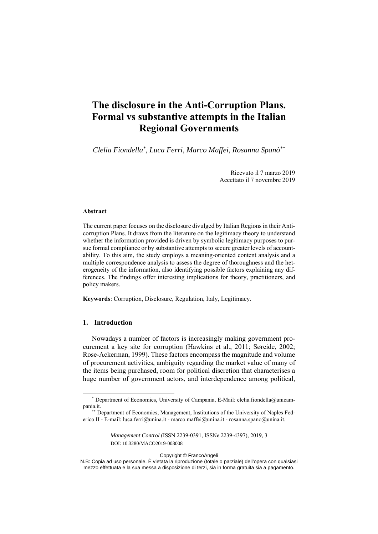# **The disclosure in the Anti-Corruption Plans. Formal vs substantive attempts in the Italian Regional Governments**

*Clelia Fiondella\*, Luca Ferri, Marco Maffei, Rosanna Spanò\*\**

Ricevuto il 7 marzo 2019 Accettato il 7 novembre 2019

#### **Abstract**

The current paper focuses on the disclosure divulged by Italian Regions in their Anticorruption Plans. It draws from the literature on the legitimacy theory to understand whether the information provided is driven by symbolic legitimacy purposes to pursue formal compliance or by substantive attempts to secure greater levels of accountability. To this aim, the study employs a meaning-oriented content analysis and a multiple correspondence analysis to assess the degree of thoroughness and the heterogeneity of the information, also identifying possible factors explaining any differences. The findings offer interesting implications for theory, practitioners, and policy makers.

**Keywords**: Corruption, Disclosure, Regulation, Italy, Legitimacy.

# **1. Introduction**

Nowadays a number of factors is increasingly making government procurement a key site for corruption (Hawkins et al., 2011; Søreide, 2002; Rose-Ackerman, 1999). These factors encompass the magnitude and volume of procurement activities, ambiguity regarding the market value of many of the items being purchased, room for political discretion that characterises a huge number of government actors, and interdependence among political,

*Management Control* (ISSN 2239-0391, ISSNe 2239-4397), 2019, 3 DOI: 10.3280/MACO2019-003008

Copyright © FrancoAngeli

<sup>\*</sup> Department of Economics, University of Campania, E-Mail: clelia.fiondella@unicampania.it. \*\*\*<br> Department of Economics, Management, Institutions of the University of Naples Fed-

erico II - E-mail: luca.ferri@unina.it - marco.maffei@unina.it - rosanna.spano@unina.it.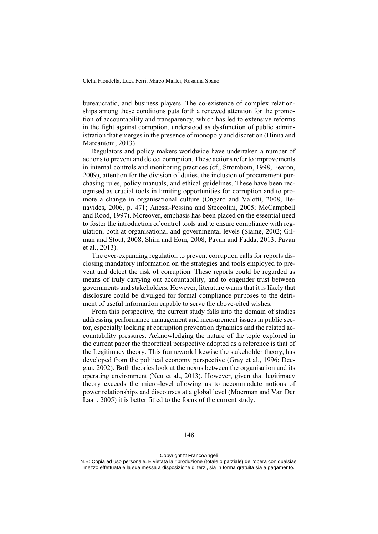bureaucratic, and business players. The co-existence of complex relationships among these conditions puts forth a renewed attention for the promotion of accountability and transparency, which has led to extensive reforms in the fight against corruption, understood as dysfunction of public administration that emerges in the presence of monopoly and discretion (Hinna and Marcantoni, 2013).

Regulators and policy makers worldwide have undertaken a number of actions to prevent and detect corruption. These actions refer to improvements in internal controls and monitoring practices (cf., Strombom, 1998; Fearon, 2009), attention for the division of duties, the inclusion of procurement purchasing rules, policy manuals, and ethical guidelines. These have been recognised as crucial tools in limiting opportunities for corruption and to promote a change in organisational culture (Ongaro and Valotti, 2008; Benavides, 2006, p. 471; Anessi-Pessina and Steccolini, 2005; McCampbell and Rood, 1997). Moreover, emphasis has been placed on the essential need to foster the introduction of control tools and to ensure compliance with regulation, both at organisational and governmental levels (Siame, 2002; Gilman and Stout, 2008; Shim and Eom, 2008; Pavan and Fadda, 2013; Pavan et al., 2013).

The ever-expanding regulation to prevent corruption calls for reports disclosing mandatory information on the strategies and tools employed to prevent and detect the risk of corruption. These reports could be regarded as means of truly carrying out accountability, and to engender trust between governments and stakeholders. However, literature warns that it is likely that disclosure could be divulged for formal compliance purposes to the detriment of useful information capable to serve the above-cited wishes.

From this perspective, the current study falls into the domain of studies addressing performance management and measurement issues in public sector, especially looking at corruption prevention dynamics and the related accountability pressures. Acknowledging the nature of the topic explored in the current paper the theoretical perspective adopted as a reference is that of the Legitimacy theory. This framework likewise the stakeholder theory, has developed from the political economy perspective (Gray et al., 1996; Deegan, 2002). Both theories look at the nexus between the organisation and its operating environment (Neu et al., 2013). However, given that legitimacy theory exceeds the micro-level allowing us to accommodate notions of power relationships and discourses at a global level (Moerman and Van Der Laan, 2005) it is better fitted to the focus of the current study.

Copyright © FrancoAngeli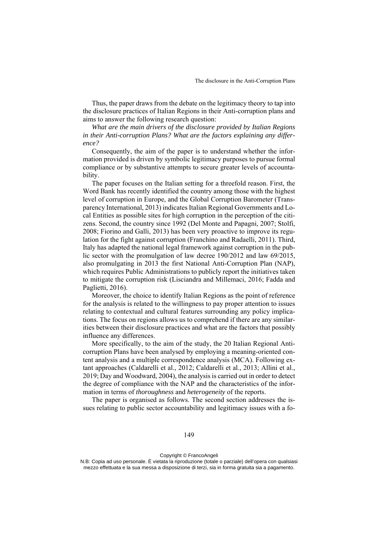Thus, the paper draws from the debate on the legitimacy theory to tap into the disclosure practices of Italian Regions in their Anti-corruption plans and aims to answer the following research question:

*What are the main drivers of the disclosure provided by Italian Regions in their Anti-corruption Plans? What are the factors explaining any difference?* 

Consequently, the aim of the paper is to understand whether the information provided is driven by symbolic legitimacy purposes to pursue formal compliance or by substantive attempts to secure greater levels of accountability.

The paper focuses on the Italian setting for a threefold reason. First, the Word Bank has recently identified the country among those with the highest level of corruption in Europe, and the Global Corruption Barometer (Transparency International, 2013) indicates Italian Regional Governments and Local Entities as possible sites for high corruption in the perception of the citizens. Second, the country since 1992 (Del Monte and Papagni, 2007; Stolfi, 2008; Fiorino and Galli, 2013) has been very proactive to improve its regulation for the fight against corruption (Franchino and Radaelli, 2011). Third, Italy has adapted the national legal framework against corruption in the public sector with the promulgation of law decree 190/2012 and law 69/2015, also promulgating in 2013 the first National Anti-Corruption Plan (NAP), which requires Public Administrations to publicly report the initiatives taken to mitigate the corruption risk (Lisciandra and Millemaci, 2016; Fadda and Paglietti, 2016).

Moreover, the choice to identify Italian Regions as the point of reference for the analysis is related to the willingness to pay proper attention to issues relating to contextual and cultural features surrounding any policy implications. The focus on regions allows us to comprehend if there are any similarities between their disclosure practices and what are the factors that possibly influence any differences.

More specifically, to the aim of the study, the 20 Italian Regional Anticorruption Plans have been analysed by employing a meaning-oriented content analysis and a multiple correspondence analysis (MCA). Following extant approaches (Caldarelli et al., 2012; Caldarelli et al., 2013; Allini et al., 2019; Day and Woodward, 2004), the analysis is carried out in order to detect the degree of compliance with the NAP and the characteristics of the information in terms of *thoroughness* and *heterogeneity* of the reports.

The paper is organised as follows. The second section addresses the issues relating to public sector accountability and legitimacy issues with a fo-

Copyright © FrancoAngeli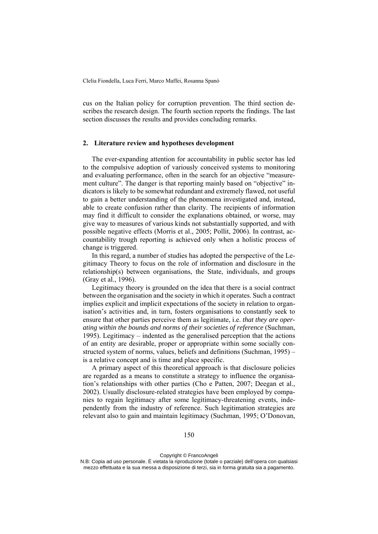cus on the Italian policy for corruption prevention. The third section describes the research design. The fourth section reports the findings. The last section discusses the results and provides concluding remarks.

# **2. Literature review and hypotheses development**

The ever-expanding attention for accountability in public sector has led to the compulsive adoption of variously conceived systems to monitoring and evaluating performance, often in the search for an objective "measurement culture". The danger is that reporting mainly based on "objective" indicators is likely to be somewhat redundant and extremely flawed, not useful to gain a better understanding of the phenomena investigated and, instead, able to create confusion rather than clarity. The recipients of information may find it difficult to consider the explanations obtained, or worse, may give way to measures of various kinds not substantially supported, and with possible negative effects (Morris et al., 2005; Pollit, 2006). In contrast, accountability trough reporting is achieved only when a holistic process of change is triggered.

In this regard, a number of studies has adopted the perspective of the Legitimacy Theory to focus on the role of information and disclosure in the relationship(s) between organisations, the State, individuals, and groups (Gray et al., 1996).

Legitimacy theory is grounded on the idea that there is a social contract between the organisation and the society in which it operates. Such a contract implies explicit and implicit expectations of the society in relation to organisation's activities and, in turn, fosters organisations to constantly seek to ensure that other parties perceive them as legitimate, i.e. *that they are operating within the bounds and norms of their societies of reference* (Suchman, 1995). Legitimacy – indented as the generalised perception that the actions of an entity are desirable, proper or appropriate within some socially constructed system of norms, values, beliefs and definitions (Suchman, 1995) – is a relative concept and is time and place specific.

A primary aspect of this theoretical approach is that disclosure policies are regarded as a means to constitute a strategy to influence the organisation's relationships with other parties (Cho e Patten, 2007; Deegan et al., 2002). Usually disclosure-related strategies have been employed by companies to regain legitimacy after some legitimacy-threatening events, independently from the industry of reference. Such legitimation strategies are relevant also to gain and maintain legitimacy (Suchman, 1995; O'Donovan,

Copyright © FrancoAngeli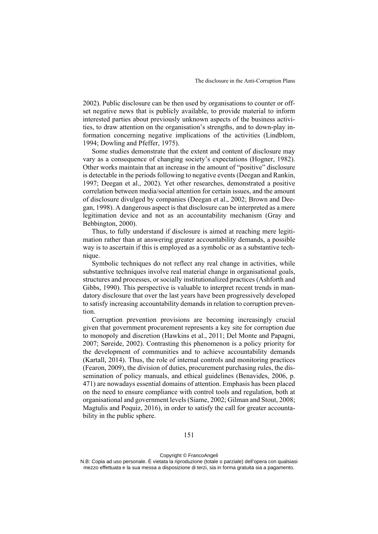2002). Public disclosure can be then used by organisations to counter or offset negative news that is publicly available, to provide material to inform interested parties about previously unknown aspects of the business activities, to draw attention on the organisation's strengths, and to down-play information concerning negative implications of the activities (Lindblom, 1994; Dowling and Pfeffer, 1975).

Some studies demonstrate that the extent and content of disclosure may vary as a consequence of changing society's expectations (Hogner, 1982). Other works maintain that an increase in the amount of "positive" disclosure is detectable in the periods following to negative events (Deegan and Rankin, 1997; Deegan et al., 2002). Yet other researches, demonstrated a positive correlation between media/social attention for certain issues, and the amount of disclosure divulged by companies (Deegan et al., 2002; Brown and Deegan, 1998). A dangerous aspect is that disclosure can be interpreted as a mere legitimation device and not as an accountability mechanism (Gray and Bebbington, 2000).

Thus, to fully understand if disclosure is aimed at reaching mere legitimation rather than at answering greater accountability demands, a possible way is to ascertain if this is employed as a symbolic or as a substantive technique.

Symbolic techniques do not reflect any real change in activities, while substantive techniques involve real material change in organisational goals, structures and processes, or socially institutionalized practices (Ashforth and Gibbs, 1990). This perspective is valuable to interpret recent trends in mandatory disclosure that over the last years have been progressively developed to satisfy increasing accountability demands in relation to corruption prevention.

Corruption prevention provisions are becoming increasingly crucial given that government procurement represents a key site for corruption due to monopoly and discretion (Hawkins et al., 2011; Del Monte and Papagni, 2007; Søreide, 2002). Contrasting this phenomenon is a policy priority for the development of communities and to achieve accountability demands (Kartall, 2014). Thus, the role of internal controls and monitoring practices (Fearon, 2009), the division of duties, procurement purchasing rules, the dissemination of policy manuals, and ethical guidelines (Benavides, 2006, p. 471) are nowadays essential domains of attention. Emphasis has been placed on the need to ensure compliance with control tools and regulation, both at organisational and government levels (Siame, 2002; Gilman and Stout, 2008; Magtulis and Poquiz, 2016), in order to satisfy the call for greater accountability in the public sphere.

N.B: Copia ad uso personale. È vietata la riproduzione (totale o parziale) dell'opera con qualsiasi mezzo effettuata e la sua messa a disposizione di terzi, sia in forma gratuita sia a pagamento.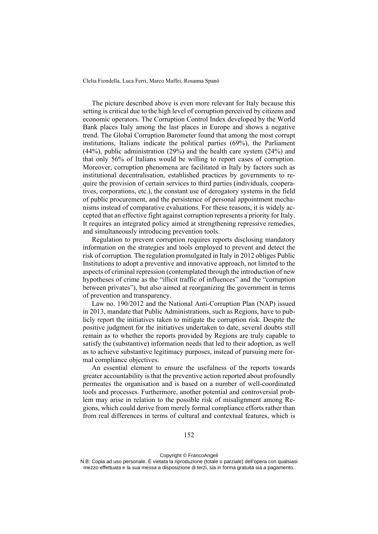The picture described above is even more relevant for Italy because this setting is critical due to the high level of corruption perceived by citizens and economic operators. The Corruption Control Index developed by the World Bank places Italy among the last places in Europe and shows a negative trend. The Global Corruption Barometer found that among the most corrupt institutions, Italians indicate the political parties (69%), the Parliament (44%), public administration (29%) and the health care system (24%) and that only 56% of Italians would be willing to report cases of corruption. Moreover, corruption phenomena are facilitated in Italy by factors such as institutional decentralisation, established practices by governments to require the provision of certain services to third parties (individuals, cooperatives, corporations, etc.), the constant use of derogatory systems in the field of public procurement, and the persistence of personal appointment mechanisms instead of comparative evaluations. For these reasons, it is widely accepted that an effective fight against corruption represents a priority for Italy. It requires an integrated policy aimed at strengthening repressive remedies, and simultaneously introducing prevention tools.

Regulation to prevent corruption requires reports disclosing mandatory information on the strategies and tools employed to prevent and detect the risk of corruption. The regulation promulgated in Italy in 2012 obliges Public Institutions to adopt a preventive and innovative approach, not limited to the aspects of criminal repression (contemplated through the introduction of new hypotheses of crime as the "illicit traffic of influences" and the "corruption between privates"), but also aimed at reorganizing the government in terms of prevention and transparency.

Law no. 190/2012 and the National Anti-Corruption Plan (NAP) issued in 2013, mandate that Public Administrations, such as Regions, have to publicly report the initiatives taken to mitigate the corruption risk. Despite the positive judgment for the initiatives undertaken to date, several doubts still remain as to whether the reports provided by Regions are truly capable to satisfy the (substantive) information needs that led to their adoption, as well as to achieve substantive legitimacy purposes, instead of pursuing mere formal compliance objectives.

An essential element to ensure the usefulness of the reports towards greater accountability is that the preventive action reported about profoundly permeates the organisation and is based on a number of well-coordinated tools and processes. Furthermore, another potential and controversial problem may arise in relation to the possible risk of misalignment among Regions, which could derive from merely formal compliance efforts rather than from real differences in terms of cultural and contextual features, which is

Copyright © FrancoAngeli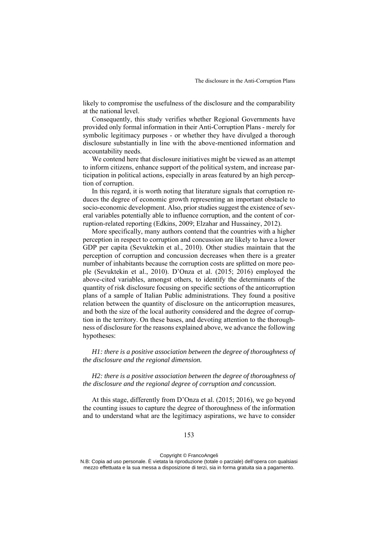likely to compromise the usefulness of the disclosure and the comparability at the national level.

Consequently, this study verifies whether Regional Governments have provided only formal information in their Anti-Corruption Plans - merely for symbolic legitimacy purposes - or whether they have divulged a thorough disclosure substantially in line with the above-mentioned information and accountability needs.

We contend here that disclosure initiatives might be viewed as an attempt to inform citizens, enhance support of the political system, and increase participation in political actions, especially in areas featured by an high perception of corruption.

In this regard, it is worth noting that literature signals that corruption reduces the degree of economic growth representing an important obstacle to socio-economic development. Also, prior studies suggest the existence of several variables potentially able to influence corruption, and the content of corruption-related reporting (Edkins, 2009; Elzahar and Hussainey, 2012).

More specifically, many authors contend that the countries with a higher perception in respect to corruption and concussion are likely to have a lower GDP per capita (Sevuktekin et al., 2010). Other studies maintain that the perception of corruption and concussion decreases when there is a greater number of inhabitants because the corruption costs are splitted on more people (Sevuktekin et al., 2010). D'Onza et al. (2015; 2016) employed the above-cited variables, amongst others, to identify the determinants of the quantity of risk disclosure focusing on specific sections of the anticorruption plans of a sample of Italian Public administrations. They found a positive relation between the quantity of disclosure on the anticorruption measures, and both the size of the local authority considered and the degree of corruption in the territory. On these bases, and devoting attention to the thoroughness of disclosure for the reasons explained above, we advance the following hypotheses:

*H1: there is a positive association between the degree of thoroughness of the disclosure and the regional dimension.* 

*H2: there is a positive association between the degree of thoroughness of the disclosure and the regional degree of corruption and concussion.*

At this stage, differently from D'Onza et al. (2015; 2016), we go beyond the counting issues to capture the degree of thoroughness of the information and to understand what are the legitimacy aspirations, we have to consider

## 153

#### Copyright © FrancoAngeli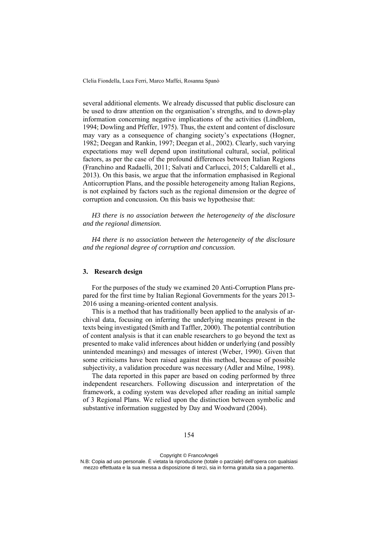several additional elements. We already discussed that public disclosure can be used to draw attention on the organisation's strengths, and to down-play information concerning negative implications of the activities (Lindblom, 1994; Dowling and Pfeffer, 1975). Thus, the extent and content of disclosure may vary as a consequence of changing society's expectations (Hogner, 1982; Deegan and Rankin, 1997; Deegan et al., 2002). Clearly, such varying expectations may well depend upon institutional cultural, social, political factors, as per the case of the profound differences between Italian Regions (Franchino and Radaelli, 2011; Salvati and Carlucci, 2015; Caldarelli et al., 2013). On this basis, we argue that the information emphasised in Regional Anticorruption Plans, and the possible heterogeneity among Italian Regions, is not explained by factors such as the regional dimension or the degree of corruption and concussion*.* On this basis we hypothesise that:

*H3 there is no association between the heterogeneity of the disclosure and the regional dimension.* 

*H4 there is no association between the heterogeneity of the disclosure and the regional degree of corruption and concussion.* 

## **3. Research design**

For the purposes of the study we examined 20 Anti-Corruption Plans prepared for the first time by Italian Regional Governments for the years 2013- 2016 using a meaning-oriented content analysis.

This is a method that has traditionally been applied to the analysis of archival data, focusing on inferring the underlying meanings present in the texts being investigated (Smith and Taffler, 2000). The potential contribution of content analysis is that it can enable researchers to go beyond the text as presented to make valid inferences about hidden or underlying (and possibly unintended meanings) and messages of interest (Weber, 1990). Given that some criticisms have been raised against this method, because of possible subjectivity, a validation procedure was necessary (Adler and Milne, 1998).

The data reported in this paper are based on coding performed by three independent researchers. Following discussion and interpretation of the framework, a coding system was developed after reading an initial sample of 3 Regional Plans. We relied upon the distinction between symbolic and substantive information suggested by Day and Woodward (2004).

Copyright © FrancoAngeli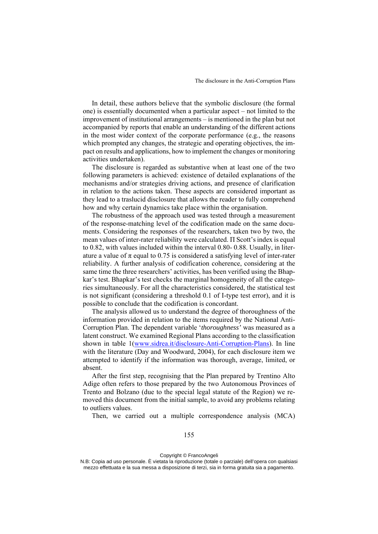In detail, these authors believe that the symbolic disclosure (the formal one) is essentially documented when a particular aspect – not limited to the improvement of institutional arrangements – is mentioned in the plan but not accompanied by reports that enable an understanding of the different actions in the most wider context of the corporate performance (e.g., the reasons which prompted any changes, the strategic and operating objectives, the impact on results and applications, how to implement the changes or monitoring activities undertaken).

The disclosure is regarded as substantive when at least one of the two following parameters is achieved: existence of detailed explanations of the mechanisms and/or strategies driving actions, and presence of clarification in relation to the actions taken. These aspects are considered important as they lead to a traslucid disclosure that allows the reader to fully comprehend how and why certain dynamics take place within the organisation.

The robustness of the approach used was tested through a measurement of the response-matching level of the codification made on the same documents. Considering the responses of the researchers, taken two by two, the mean values of inter-rater reliability were calculated. Π Scott's index is equal to 0.82, with values included within the interval 0.80- 0.88. Usually, in literature a value of  $\pi$  equal to 0.75 is considered a satisfying level of inter-rater reliability. A further analysis of codification coherence, considering at the same time the three researchers' activities, has been verified using the Bhapkar's test. Bhapkar's test checks the marginal homogeneity of all the categories simultaneously. For all the characteristics considered, the statistical test is not significant (considering a threshold 0.1 of I-type test error), and it is possible to conclude that the codification is concordant.

The analysis allowed us to understand the degree of thoroughness of the information provided in relation to the items required by the National Anti-Corruption Plan. The dependent variable '*thoroughness'* was measured as a latent construct. We examined Regional Plans according to the classification shown in table 1(www.sidrea.it/disclosure-Anti-Corruption-Plans). In line with the literature (Day and Woodward, 2004), for each disclosure item we attempted to identify if the information was thorough, average, limited, or absent.

After the first step, recognising that the Plan prepared by Trentino Alto Adige often refers to those prepared by the two Autonomous Provinces of Trento and Bolzano (due to the special legal statute of the Region) we removed this document from the initial sample, to avoid any problems relating to outliers values.

Then, we carried out a multiple correspondence analysis (MCA)

Copyright © FrancoAngeli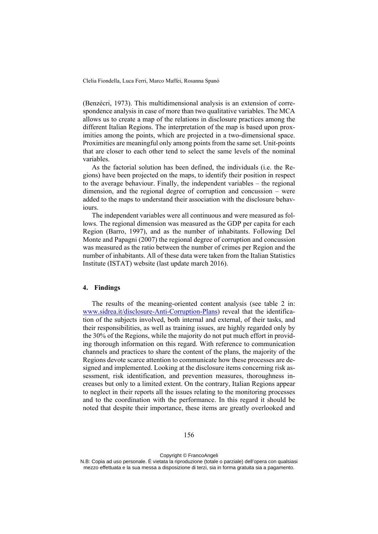(Benzécri, 1973). This multidimensional analysis is an extension of correspondence analysis in case of more than two qualitative variables. The MCA allows us to create a map of the relations in disclosure practices among the different Italian Regions. The interpretation of the map is based upon proximities among the points, which are projected in a two-dimensional space. Proximities are meaningful only among points from the same set. Unit-points that are closer to each other tend to select the same levels of the nominal variables.

As the factorial solution has been defined, the individuals (i.e. the Regions) have been projected on the maps, to identify their position in respect to the average behaviour. Finally, the independent variables – the regional dimension, and the regional degree of corruption and concussion – were added to the maps to understand their association with the disclosure behaviours.

The independent variables were all continuous and were measured as follows. The regional dimension was measured as the GDP per capita for each Region (Barro, 1997), and as the number of inhabitants. Following Del Monte and Papagni (2007) the regional degree of corruption and concussion was measured as the ratio between the number of crimes per Region and the number of inhabitants. All of these data were taken from the Italian Statistics Institute (ISTAT) website (last update march 2016).

# **4. Findings**

The results of the meaning-oriented content analysis (see table 2 in: www.sidrea.it/disclosure-Anti-Corruption-Plans) reveal that the identification of the subjects involved, both internal and external, of their tasks, and their responsibilities, as well as training issues, are highly regarded only by the 30% of the Regions, while the majority do not put much effort in providing thorough information on this regard. With reference to communication channels and practices to share the content of the plans, the majority of the Regions devote scarce attention to communicate how these processes are designed and implemented. Looking at the disclosure items concerning risk assessment, risk identification, and prevention measures, thoroughness increases but only to a limited extent. On the contrary, Italian Regions appear to neglect in their reports all the issues relating to the monitoring processes and to the coordination with the performance. In this regard it should be noted that despite their importance, these items are greatly overlooked and

Copyright © FrancoAngeli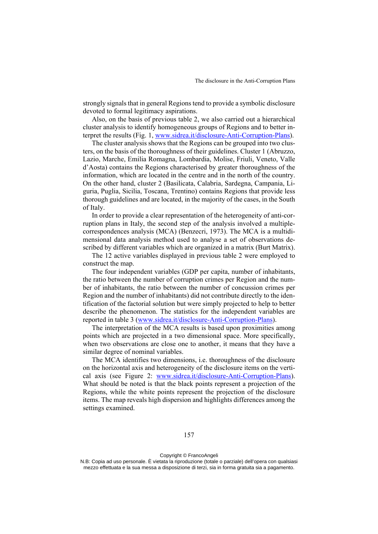strongly signals that in general Regions tend to provide a symbolic disclosure devoted to formal legitimacy aspirations.

Also, on the basis of previous table 2, we also carried out a hierarchical cluster analysis to identify homogeneous groups of Regions and to better interpret the results (Fig. 1, www.sidrea.it/disclosure-Anti-Corruption-Plans).

The cluster analysis shows that the Regions can be grouped into two clusters, on the basis of the thoroughness of their guidelines. Cluster 1 (Abruzzo, Lazio, Marche, Emilia Romagna, Lombardia, Molise, Friuli, Veneto, Valle d'Aosta) contains the Regions characterised by greater thoroughness of the information, which are located in the centre and in the north of the country. On the other hand, cluster 2 (Basilicata, Calabria, Sardegna, Campania, Liguria, Puglia, Sicilia, Toscana, Trentino) contains Regions that provide less thorough guidelines and are located, in the majority of the cases, in the South of Italy.

In order to provide a clear representation of the heterogeneity of anti-corruption plans in Italy, the second step of the analysis involved a multiplecorrespondences analysis (MCA) (Benzecri, 1973). The MCA is a multidimensional data analysis method used to analyse a set of observations described by different variables which are organized in a matrix (Burt Matrix).

The 12 active variables displayed in previous table 2 were employed to construct the map.

The four independent variables (GDP per capita, number of inhabitants, the ratio between the number of corruption crimes per Region and the number of inhabitants, the ratio between the number of concussion crimes per Region and the number of inhabitants) did not contribute directly to the identification of the factorial solution but were simply projected to help to better describe the phenomenon. The statistics for the independent variables are reported in table 3 (www.sidrea.it/disclosure-Anti-Corruption-Plans).

The interpretation of the MCA results is based upon proximities among points which are projected in a two dimensional space. More specifically, when two observations are close one to another, it means that they have a similar degree of nominal variables.

The MCA identifies two dimensions, i.e. thoroughness of the disclosure on the horizontal axis and heterogeneity of the disclosure items on the vertical axis (see Figure 2: www.sidrea.it/disclosure-Anti-Corruption-Plans). What should be noted is that the black points represent a projection of the Regions, while the white points represent the projection of the disclosure items. The map reveals high dispersion and highlights differences among the settings examined.

N.B: Copia ad uso personale. È vietata la riproduzione (totale o parziale) dell'opera con qualsiasi mezzo effettuata e la sua messa a disposizione di terzi, sia in forma gratuita sia a pagamento.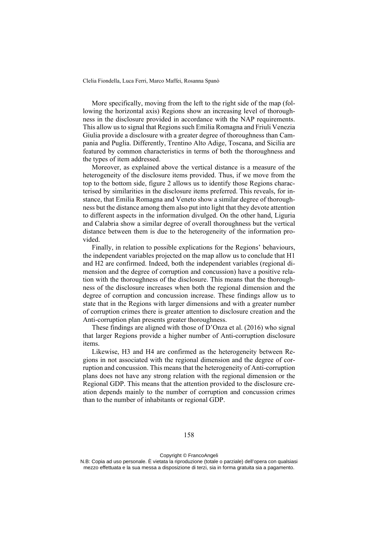More specifically, moving from the left to the right side of the map (following the horizontal axis) Regions show an increasing level of thoroughness in the disclosure provided in accordance with the NAP requirements. This allow us to signal that Regions such Emilia Romagna and Friuli Venezia Giulia provide a disclosure with a greater degree of thoroughness than Campania and Puglia. Differently, Trentino Alto Adige, Toscana, and Sicilia are featured by common characteristics in terms of both the thoroughness and the types of item addressed.

Moreover, as explained above the vertical distance is a measure of the heterogeneity of the disclosure items provided. Thus, if we move from the top to the bottom side, figure 2 allows us to identify those Regions characterised by similarities in the disclosure items preferred. This reveals, for instance, that Emilia Romagna and Veneto show a similar degree of thoroughness but the distance among them also put into light that they devote attention to different aspects in the information divulged. On the other hand, Liguria and Calabria show a similar degree of overall thoroughness but the vertical distance between them is due to the heterogeneity of the information provided.

Finally, in relation to possible explications for the Regions' behaviours, the independent variables projected on the map allow us to conclude that H1 and H2 are confirmed. Indeed, both the independent variables (regional dimension and the degree of corruption and concussion) have a positive relation with the thoroughness of the disclosure. This means that the thoroughness of the disclosure increases when both the regional dimension and the degree of corruption and concussion increase. These findings allow us to state that in the Regions with larger dimensions and with a greater number of corruption crimes there is greater attention to disclosure creation and the Anti-corruption plan presents greater thoroughness.

These findings are aligned with those of D'Onza et al. (2016) who signal that larger Regions provide a higher number of Anti-corruption disclosure items.

Likewise, H3 and H4 are confirmed as the heterogeneity between Regions in not associated with the regional dimension and the degree of corruption and concussion. This means that the heterogeneity of Anti-corruption plans does not have any strong relation with the regional dimension or the Regional GDP. This means that the attention provided to the disclosure creation depends mainly to the number of corruption and concussion crimes than to the number of inhabitants or regional GDP.

Copyright © FrancoAngeli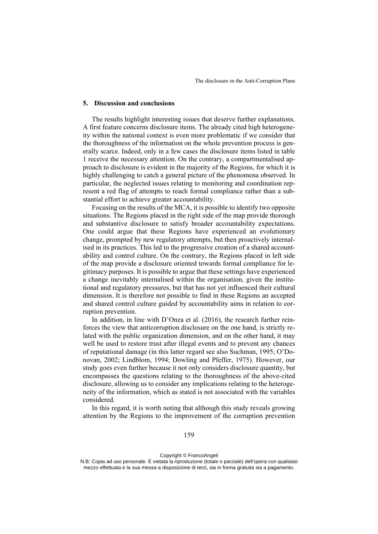## **5. Discussion and conclusions**

The results highlight interesting issues that deserve further explanations. A first feature concerns disclosure items. The already cited high heterogeneity within the national context is even more problematic if we consider that the thoroughness of the information on the whole prevention process is generally scarce. Indeed, only in a few cases the disclosure items listed in table 1 receive the necessary attention. On the contrary, a compartmentalised approach to disclosure is evident in the majority of the Regions, for which it is highly challenging to catch a general picture of the phenomena observed. In particular, the neglected issues relating to monitoring and coordination represent a red flag of attempts to reach formal compliance rather than a substantial effort to achieve greater accountability.

Focusing on the results of the MCA, it is possible to identify two opposite situations. The Regions placed in the right side of the map provide thorough and substantive disclosure to satisfy broader accountability expectations. One could argue that these Regions have experienced an evolutionary change, prompted by new regulatory attempts, but then proactively internalised in its practices. This led to the progressive creation of a shared accountability and control culture. On the contrary, the Regions placed in left side of the map provide a disclosure oriented towards formal compliance for legitimacy purposes. It is possible to argue that these settings have experienced a change inevitably internalised within the organisation, given the institutional and regulatory pressures, but that has not yet influenced their cultural dimension. It is therefore not possible to find in these Regions an accepted and shared control culture guided by accountability aims in relation to corruption prevention.

In addition, in line with D'Onza et al. (2016), the research further reinforces the view that anticorruption disclosure on the one hand, is strictly related with the public organization dimension, and on the other hand, it may well be used to restore trust after illegal events and to prevent any chances of reputational damage (in this latter regard see also Suchman, 1995; O'Donovan, 2002; Lindblom, 1994; Dowling and Pfeffer, 1975). However, our study goes even further because it not only considers disclosure quantity, but encompasses the questions relating to the thoroughness of the above-cited disclosure, allowing us to consider any implications relating to the heterogeneity of the information, which as stated is not associated with the variables considered.

In this regard, it is worth noting that although this study reveals growing attention by the Regions to the improvement of the corruption prevention

Copyright © FrancoAngeli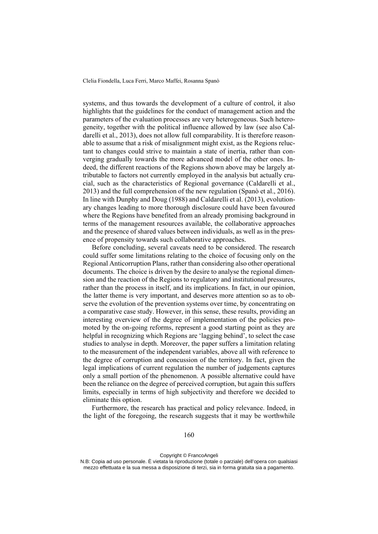systems, and thus towards the development of a culture of control, it also highlights that the guidelines for the conduct of management action and the parameters of the evaluation processes are very heterogeneous. Such heterogeneity, together with the political influence allowed by law (see also Caldarelli et al., 2013), does not allow full comparability. It is therefore reasonable to assume that a risk of misalignment might exist, as the Regions reluctant to changes could strive to maintain a state of inertia, rather than converging gradually towards the more advanced model of the other ones. Indeed, the different reactions of the Regions shown above may be largely attributable to factors not currently employed in the analysis but actually crucial, such as the characteristics of Regional governance (Caldarelli et al., 2013) and the full comprehension of the new regulation (Spanò et al., 2016). In line with Dunphy and Doug (1988) and Caldarelli et al. (2013), evolutionary changes leading to more thorough disclosure could have been favoured where the Regions have benefited from an already promising background in terms of the management resources available, the collaborative approaches and the presence of shared values between individuals, as well as in the presence of propensity towards such collaborative approaches.

Before concluding, several caveats need to be considered. The research could suffer some limitations relating to the choice of focusing only on the Regional Anticorruption Plans, rather than considering also other operational documents. The choice is driven by the desire to analyse the regional dimension and the reaction of the Regions to regulatory and institutional pressures, rather than the process in itself, and its implications. In fact, in our opinion, the latter theme is very important, and deserves more attention so as to observe the evolution of the prevention systems over time, by concentrating on a comparative case study. However, in this sense, these results, providing an interesting overview of the degree of implementation of the policies promoted by the on-going reforms, represent a good starting point as they are helpful in recognizing which Regions are 'lagging behind', to select the case studies to analyse in depth. Moreover, the paper suffers a limitation relating to the measurement of the independent variables, above all with reference to the degree of corruption and concussion of the territory. In fact, given the legal implications of current regulation the number of judgements captures only a small portion of the phenomenon. A possible alternative could have been the reliance on the degree of perceived corruption, but again this suffers limits, especially in terms of high subjectivity and therefore we decided to eliminate this option.

Furthermore, the research has practical and policy relevance. Indeed, in the light of the foregoing, the research suggests that it may be worthwhile

#### 160

Copyright © FrancoAngeli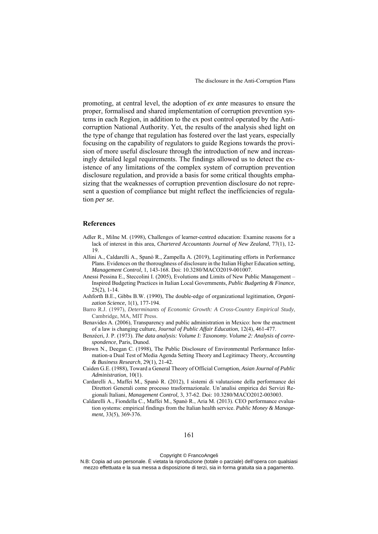promoting, at central level, the adoption of *ex ante* measures to ensure the proper, formalised and shared implementation of corruption prevention systems in each Region, in addition to the ex post control operated by the Anticorruption National Authority. Yet, the results of the analysis shed light on the type of change that regulation has fostered over the last years, especially focusing on the capability of regulators to guide Regions towards the provision of more useful disclosure through the introduction of new and increasingly detailed legal requirements. The findings allowed us to detect the existence of any limitations of the complex system of corruption prevention disclosure regulation, and provide a basis for some critical thoughts emphasizing that the weaknesses of corruption prevention disclosure do not represent a question of compliance but might reflect the inefficiencies of regulation *per se*.

# **References**

- Adler R., Milne M. (1998), Challenges of learner-centred education: Examine reasons for a lack of interest in this area, *Chartered Accountants Journal of New Zealand*, 77(1), 12- 19.
- Allini A., Caldarelli A., Spanò R., Zampella A. (2019), Legitimating efforts in Performance Plans. Evidences on the thoroughness of disclosure in the Italian Higher Education setting, *Management Control*, 1, 143-168. Doi: 10.3280/MACO2019-001007.
- Anessi Pessina E., Steccolini I. (2005), Evolutions and Limits of New Public Management Inspired Budgeting Practices in Italian Local Governments, *Public Budgeting & Finance*, 25(2), 1-14.
- Ashforth B.E., Gibbs B.W. (1990), The double-edge of organizational legitimation, *Organization Science*, 1(1), 177-194.
- Barro R.J. (1997), *Determinants of Economic Growth: A Cross-Country Empirical Study*, Cambridge, MA, MIT Press.
- Benavides A. (2006), Transparency and public administration in Mexico: how the enactment of a law is changing culture, *Journal of Public Affair Education*, 12(4), 461-477.
- Benzécri, J. P. (1973). *The data analysis: Volume I: Taxonomy. Volume 2: Analysis of correspondence*, Paris, Dunod.
- Brown N., Deegan C. (1998), The Public Disclosure of Environmental Performance Information-a Dual Test of Media Agenda Setting Theory and Legitimacy Theory, *Accounting & Business Research*, 29(1), 21-42.
- Caiden G.E. (1988), Toward a General Theory of Official Corruption, *Asian Journal of Public Administration*, 10(1).
- Cardarelli A., Maffei M., Spanò R. (2012), I sistemi di valutazione della performance dei Direttori Generali come processo trasformazionale. Un'analisi empirica dei Servizi Regionali Italiani, *Management Control*, 3, 37-62. Doi: 10.3280/MACO2012-003003.
- Caldarelli A., Fiondella C., Maffei M., Spanò R., Aria M. (2013). CEO performance evaluation systems: empirical findings from the Italian health service. *Public Money & Management*, 33(5), 369-376.

161

Copyright © FrancoAngeli

N.B: Copia ad uso personale. È vietata la riproduzione (totale o parziale) dell'opera con qualsiasi mezzo effettuata e la sua messa a disposizione di terzi, sia in forma gratuita sia a pagamento.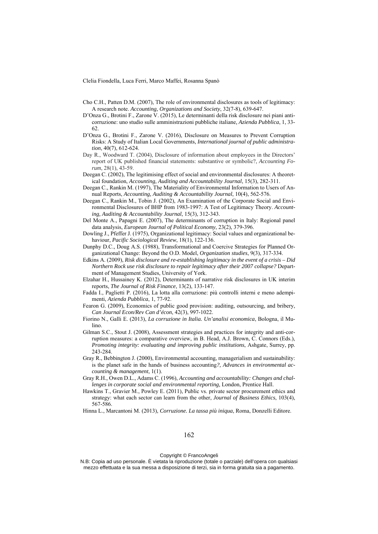- Cho C.H., Patten D.M. (2007), The role of environmental disclosures as tools of legitimacy: A research note. *Accounting, Organizations and Society*, 32(7-8), 639-647.
- D'Onza G., Brotini F., Zarone V. (2015), Le determinanti della risk disclosure nei piani anticorruzione: uno studio sulle amministrazioni pubbliche italiane*, Azienda Pubblica*, 1, 33- 62.
- D'Onza G., Brotini F., Zarone V. (2016), Disclosure on Measures to Prevent Corruption Risks: A Study of Italian Local Governments, *International journal of public administration*, 40(7), 612-624.
- Day R., Woodward T. (2004), Disclosure of information about employees in the Directors' report of UK published financial statements: substantive or symbolic?, *Accounting Forum*, 28(1), 43-59.
- Deegan C. (2002), The legitimising effect of social and environmental disclosures: A theoretical foundation, *Accounting, Auditing and Accountability Journal*, 15(3), 282-311.
- Deegan C., Rankin M. (1997), The Materiality of Environmental Information to Users of Annual Reports, *Accounting, Auditing & Accountability Journal*, 10(4), 562-576.
- Deegan C., Rankin M., Tobin J. (2002), An Examination of the Corporate Social and Environmental Disclosures of BHP from 1983-1997: A Test of Legitimacy Theory. *Accounting, Auditing & Accountability Journal*, 15(3), 312-343.
- Del Monte A., Papagni E. (2007), The determinants of corruption in Italy: Regional panel data analysis, *European Journal of Political Economy*, 23(2), 379-396.
- Dowling J., Pfeffer J. (1975), Organizational legitimacy: Social values and organizational behaviour, *Pacific Sociological Review*, 18(1), 122-136.
- Dunphy D.C., Doug A.S. (1988), Transformational and Coercive Strategies for Planned Organizational Change: Beyond the O.D. Model, *Organization studies*, 9(3), 317-334.
- Edkins A. (2009), *Risk disclosure and re-establishing legitimacy in the event of a crisis Did Northern Rock use risk disclosure to repair legitimacy after their 2007 collapse?* Department of Management Studies, University of York.
- Elzahar H., Hussainey K. (2012), Determinants of narrative risk disclosures in UK interim reports, *The Journal of Risk Finance*, 13(2), 133-147.
- Fadda I., Paglietti P. (2016), La lotta alla corruzione: più controlli interni e meno adempimenti, *Azienda Pubblica*, 1, 77-92.
- Fearon G. (2009), Economics of public good provision: auditing, outsourcing, and bribery, *Can Journal Econ/Rev Can d'écon*, 42(3), 997-1022.
- Fiorino N., Galli E. (2013), *La corruzione in Italia. Un'analisi economica*, Bologna, il Mulino.
- Gilman S.C., Stout J. (2008), Assessment strategies and practices for integrity and anti-corruption measures: a comparative overview, in B. Head, A.J. Brown, C. Connors (Eds.), *Promoting integrity: evaluating and improving public institutions*, Ashgate, Surrey, pp. 243-284.
- Gray R., Bebbington J. (2000), Environmental accounting, managerialism and sustainability: is the planet safe in the hands of business accounting*?, Advances in environmental accounting & management*, 1(1).
- Gray R.H., Owen D.L., Adams C. (1996), *Accounting and accountability: Changes and challenges in corporate social and environmental reporting,* London, Prentice Hall.
- Hawkins T., Gravier M., Powley E. (2011), Public vs. private sector procurement ethics and strategy: what each sector can learn from the other, *Journal of Business Ethics*, 103(4), 567-586.
- Hinna L., Marcantoni M. (2013), *Corruzione. La tassa più iniqua*, Roma, Donzelli Editore.

#### 162

#### Copyright © FrancoAngeli

N.B: Copia ad uso personale. È vietata la riproduzione (totale o parziale) dell'opera con qualsiasi mezzo effettuata e la sua messa a disposizione di terzi, sia in forma gratuita sia a pagamento.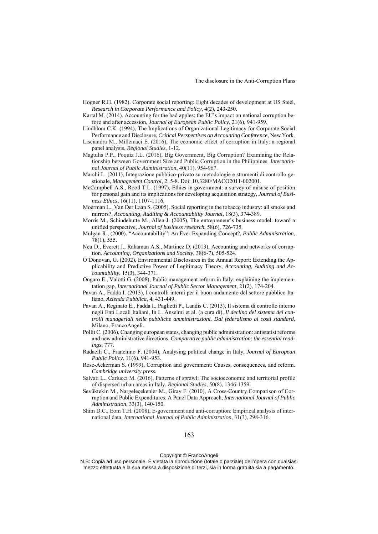- Hogner R.H. (1982). Corporate social reporting: Eight decades of development at US Steel, *Research in Corporate Performance and Policy*, 4(2), 243-250.
- Kartal M. (2014). Accounting for the bad apples: the EU's impact on national corruption before and after accession, *Journal of European Public Policy*, 21(6), 941-959.
- Lindblom C.K. (1994), The Implications of Organizational Legitimacy for Corporate Social Performance and Disclosure, *Critical Perspectives on Accounting Conference*, New York.
- Lisciandra M., Millemaci E. (2016), The economic effect of corruption in Italy: a regional panel analysis, *Regional Studies*, 1-12.
- Magtulis P.P., Poquiz J.L. (2016), Big Government, Big Corruption? Examining the Relationship between Government Size and Public Corruption in the Philippines. *International Journal of Public Administration*, 40(11), 954-967.
- Marchi L. (2011), Integrazione pubblico-privato su metodologie e strumenti di controllo gestionale, *Management Control*, 2, 5-8. Doi: 10.3280/MACO2011-002001.
- McCampbell A.S., Rood T.L. (1997), Ethics in government: a survey of misuse of position for personal gain and its implications for developing acquisition strategy, *Journal of Business Ethics*, 16(11), 1107-1116.
- Moerman L., Van Der Laan S. (2005), Social reporting in the tobacco industry: all smoke and mirrors?. *Accounting, Auditing & Accountability Journal*, 18(3), 374-389.
- Morris M., Schindehutte M., Allen J. (2005), The entrepreneur's business model: toward a unified perspective, *Journal of business research*, 58(6), 726-735.
- Mulgan R., (2000). "Accountability": An Ever Expanding Concept?, *Public Administration*, 78(1), 555.
- Neu D., Everett J., Rahaman A.S., Martinez D. (2013), Accounting and networks of corruption. *Accounting, Organizations and Society*, 38(6-7), 505-524.
- O'Donovan, G. (2002), Environmental Disclosures in the Annual Report: Extending the Applicability and Predictive Power of Legitimacy Theory, *Accounting, Auditing and Accountability*, 15(3), 344-371.
- Ongaro E., Valotti G. (2008), Public management reform in Italy: explaining the implementation gap, *International Journal of Public Sector Management*, 21(2), 174-204.
- Pavan A., Fadda I. (2013), I controlli interni per il buon andamento del settore pubblico Italiano, *Azienda Pubblica*, 4, 431-449.
- Pavan A., Reginato E., Fadda I., Paglietti P., Landis C. (2013), Il sistema di controllo interno negli Enti Locali Italiani, In L. Anselmi et al. (a cura di), *Il declino del sistema dei controlli manageriali nelle pubbliche amministrazioni. Dal federalismo ai costi standard*, Milano, FrancoAngeli.
- Pollit C. (2006), Changing european states, changing public administration: antistatist reforms and new administrative directions. *Comparative public administration: the essential readings*, 777.
- Radaelli C., Franchino F. (2004), Analysing political change in Italy, *Journal of European Public Policy*, 11(6), 941-953.
- Rose-Ackerman S. (1999), Corruption and government: Causes, consequences, and reform. *Cambridge university press.*
- Salvati L., Carlucci M. (2016), Patterns of sprawl: The socioeconomic and territorial profile of dispersed urban areas in Italy, *Regional Studies*, 50(8), 1346-1359.
- Sevüktekin M., Nargeleçekenler M., Giray F. (2010), A Cross-Country Comparison of Corruption and Public Expenditures: A Panel Data Approach, *International Journal of Public Administration*, 33(3), 140-150.
- Shim D.C., Eom T.H. (2008), E-government and anti-corruption: Empirical analysis of international data, *International Journal of Public Administration*, 31(3), 298-316.

Copyright © FrancoAngeli

N.B: Copia ad uso personale. È vietata la riproduzione (totale o parziale) dell'opera con qualsiasi mezzo effettuata e la sua messa a disposizione di terzi, sia in forma gratuita sia a pagamento.